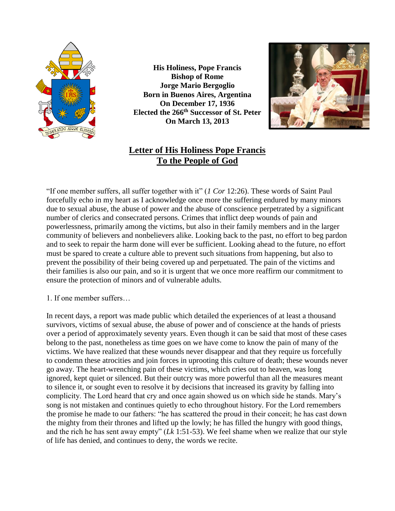

**His Holiness, Pope Francis Bishop of Rome Jorge Mario Bergoglio Born in Buenos Aires, Argentina On December 17, 1936 Elected the 266th Successor of St. Peter On March 13, 2013**



## **Letter of His Holiness Pope Francis To the People of God**

"If one member suffers, all suffer together with it" (*1 Cor* 12:26). These words of Saint Paul forcefully echo in my heart as I acknowledge once more the suffering endured by many minors due to sexual abuse, the abuse of power and the abuse of conscience perpetrated by a significant number of clerics and consecrated persons. Crimes that inflict deep wounds of pain and powerlessness, primarily among the victims, but also in their family members and in the larger community of believers and nonbelievers alike. Looking back to the past, no effort to beg pardon and to seek to repair the harm done will ever be sufficient. Looking ahead to the future, no effort must be spared to create a culture able to prevent such situations from happening, but also to prevent the possibility of their being covered up and perpetuated. The pain of the victims and their families is also our pain, and so it is urgent that we once more reaffirm our commitment to ensure the protection of minors and of vulnerable adults.

1. If one member suffers…

In recent days, a report was made public which detailed the experiences of at least a thousand survivors, victims of sexual abuse, the abuse of power and of conscience at the hands of priests over a period of approximately seventy years. Even though it can be said that most of these cases belong to the past, nonetheless as time goes on we have come to know the pain of many of the victims. We have realized that these wounds never disappear and that they require us forcefully to condemn these atrocities and join forces in uprooting this culture of death; these wounds never go away. The heart-wrenching pain of these victims, which cries out to heaven, was long ignored, kept quiet or silenced. But their outcry was more powerful than all the measures meant to silence it, or sought even to resolve it by decisions that increased its gravity by falling into complicity. The Lord heard that cry and once again showed us on which side he stands. Mary's song is not mistaken and continues quietly to echo throughout history. For the Lord remembers the promise he made to our fathers: "he has scattered the proud in their conceit; he has cast down the mighty from their thrones and lifted up the lowly; he has filled the hungry with good things, and the rich he has sent away empty" (*Lk* 1:51-53). We feel shame when we realize that our style of life has denied, and continues to deny, the words we recite.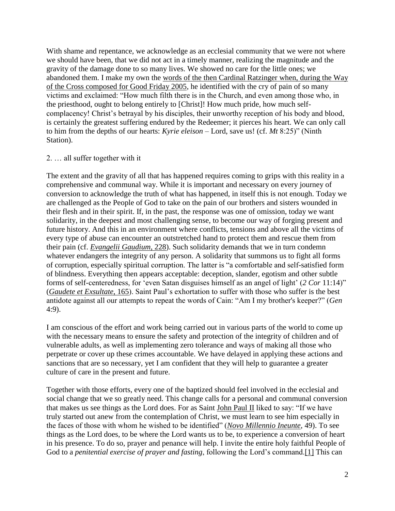With shame and repentance, we acknowledge as an ecclesial community that we were not where we should have been, that we did not act in a timely manner, realizing the magnitude and the gravity of the damage done to so many lives. We showed no care for the little ones; we abandoned them. I make my own the [words of the then Cardinal Ratzinger when, during the Way](http://www.vatican.va/news_services/liturgy/2005/via_crucis/en/station_09.html)  [of the Cross composed for Good Friday 2005,](http://www.vatican.va/news_services/liturgy/2005/via_crucis/en/station_09.html) he identified with the cry of pain of so many victims and exclaimed: "How much filth there is in the Church, and even among those who, in the priesthood, ought to belong entirely to [Christ]! How much pride, how much selfcomplacency! Christ's betrayal by his disciples, their unworthy reception of his body and blood, is certainly the greatest suffering endured by the Redeemer; it pierces his heart. We can only call to him from the depths of our hearts: *Kyrie eleison* – Lord, save us! (cf. *Mt* 8:25)" (Ninth Station).

## 2. … all suffer together with it

The extent and the gravity of all that has happened requires coming to grips with this reality in a comprehensive and communal way. While it is important and necessary on every journey of conversion to acknowledge the truth of what has happened, in itself this is not enough. Today we are challenged as the People of God to take on the pain of our brothers and sisters wounded in their flesh and in their spirit. If, in the past, the response was one of omission, today we want solidarity, in the deepest and most challenging sense, to become our way of forging present and future history. And this in an environment where conflicts, tensions and above all the victims of every type of abuse can encounter an outstretched hand to protect them and rescue them from their pain (cf. *[Evangelii Gaudium](http://w2.vatican.va/content/francesco/en/apost_exhortations/documents/papa-francesco_esortazione-ap_20131124_evangelii-gaudium.html#Unity_prevails_over_conflict)*, 228). Such solidarity demands that we in turn condemn whatever endangers the integrity of any person. A solidarity that summons us to fight all forms of corruption, especially spiritual corruption. The latter is "a comfortable and self-satisfied form of blindness. Everything then appears acceptable: deception, slander, egotism and other subtle forms of self-centeredness, for 'even Satan disguises himself as an angel of light' (*2 Cor* 11:14)" (*[Gaudete et Exsultate](http://w2.vatican.va/content/francesco/en/apost_exhortations/documents/papa-francesco_esortazione-ap_20180319_gaudete-et-exsultate.html#Spiritual_corruption)*, 165). Saint Paul's exhortation to suffer with those who suffer is the best antidote against all our attempts to repeat the words of Cain: "Am I my brother's keeper?" (*Gen*  4:9).

I am conscious of the effort and work being carried out in various parts of the world to come up with the necessary means to ensure the safety and protection of the integrity of children and of vulnerable adults, as well as implementing zero tolerance and ways of making all those who perpetrate or cover up these crimes accountable. We have delayed in applying these actions and sanctions that are so necessary, yet I am confident that they will help to guarantee a greater culture of care in the present and future.

Together with those efforts, every one of the baptized should feel involved in the ecclesial and social change that we so greatly need. This change calls for a personal and communal conversion that makes us see things as the Lord does. For as Saint [John Paul II](https://w2.vatican.va/content/john-paul-ii/en.html) liked to say: "If we have truly started out anew from the contemplation of Christ, we must learn to see him especially in the faces of those with whom he wished to be identified" (*[Novo Millennio Ineunte](https://w2.vatican.va/content/john-paul-ii/en/apost_letters/2001/documents/hf_jp-ii_apl_20010106_novo-millennio-ineunte.html)*, 49). To see things as the Lord does, to be where the Lord wants us to be, to experience a conversion of heart in his presence. To do so, prayer and penance will help. I invite the entire holy faithful People of God to a *penitential exercise of prayer and fasting*, following the Lord's command[.\[1\]](http://w2.vatican.va/content/francesco/en/letters/2018/documents/papa-francesco_20180820_lettera-popolo-didio.html#_ftn1) This can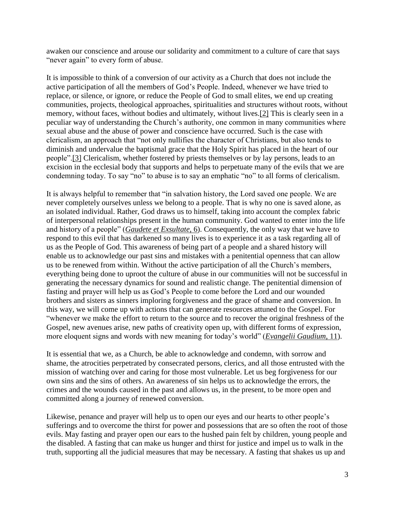awaken our conscience and arouse our solidarity and commitment to a culture of care that says "never again" to every form of abuse.

It is impossible to think of a conversion of our activity as a Church that does not include the active participation of all the members of God's People. Indeed, whenever we have tried to replace, or silence, or ignore, or reduce the People of God to small elites, we end up creating communities, projects, theological approaches, spiritualities and structures without roots, without memory, without faces, without bodies and ultimately, without lives[.\[2\]](http://w2.vatican.va/content/francesco/en/letters/2018/documents/papa-francesco_20180820_lettera-popolo-didio.html#_ftn2) This is clearly seen in a peculiar way of understanding the Church's authority, one common in many communities where sexual abuse and the abuse of power and conscience have occurred. Such is the case with clericalism, an approach that "not only nullifies the character of Christians, but also tends to diminish and undervalue the baptismal grace that the Holy Spirit has placed in the heart of our people"[.\[3\]](http://w2.vatican.va/content/francesco/en/letters/2018/documents/papa-francesco_20180820_lettera-popolo-didio.html#_ftn3) Clericalism, whether fostered by priests themselves or by lay persons, leads to an excision in the ecclesial body that supports and helps to perpetuate many of the evils that we are condemning today. To say "no" to abuse is to say an emphatic "no" to all forms of clericalism.

It is always helpful to remember that "in salvation history, the Lord saved one people. We are never completely ourselves unless we belong to a people. That is why no one is saved alone, as an isolated individual. Rather, God draws us to himself, taking into account the complex fabric of interpersonal relationships present in the human community. God wanted to enter into the life and history of a people" (*[Gaudete et Exsultate](http://w2.vatican.va/content/francesco/en/apost_exhortations/documents/papa-francesco_esortazione-ap_20180319_gaudete-et-exsultate.html#THE_SAINTS_)*, 6). Consequently, the only way that we have to respond to this evil that has darkened so many lives is to experience it as a task regarding all of us as the People of God. This awareness of being part of a people and a shared history will enable us to acknowledge our past sins and mistakes with a penitential openness that can allow us to be renewed from within. Without the active participation of all the Church's members, everything being done to uproot the culture of abuse in our communities will not be successful in generating the necessary dynamics for sound and realistic change. The penitential dimension of fasting and prayer will help us as God's People to come before the Lord and our wounded brothers and sisters as sinners imploring forgiveness and the grace of shame and conversion. In this way, we will come up with actions that can generate resources attuned to the Gospel. For "whenever we make the effort to return to the source and to recover the original freshness of the Gospel, new avenues arise, new paths of creativity open up, with different forms of expression, more eloquent signs and words with new meaning for today's world" (*[Evangelii Gaudium](http://w2.vatican.va/content/francesco/en/apost_exhortations/documents/papa-francesco_esortazione-ap_20131124_evangelii-gaudium.html#Eternal_newness)*, 11).

It is essential that we, as a Church, be able to acknowledge and condemn, with sorrow and shame, the atrocities perpetrated by consecrated persons, clerics, and all those entrusted with the mission of watching over and caring for those most vulnerable. Let us beg forgiveness for our own sins and the sins of others. An awareness of sin helps us to acknowledge the errors, the crimes and the wounds caused in the past and allows us, in the present, to be more open and committed along a journey of renewed conversion.

Likewise, penance and prayer will help us to open our eyes and our hearts to other people's sufferings and to overcome the thirst for power and possessions that are so often the root of those evils. May fasting and prayer open our ears to the hushed pain felt by children, young people and the disabled. A fasting that can make us hunger and thirst for justice and impel us to walk in the truth, supporting all the judicial measures that may be necessary. A fasting that shakes us up and